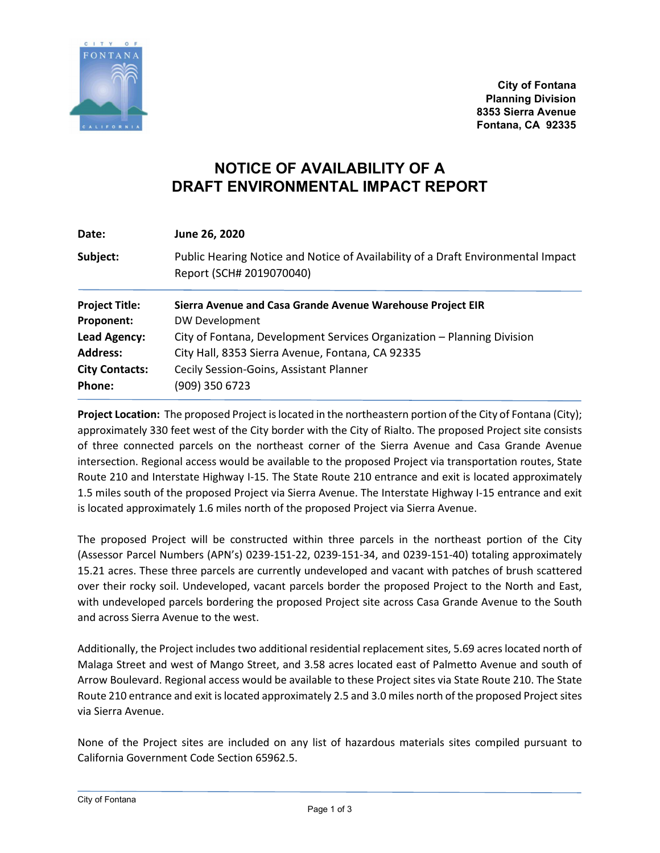

**City of Fontana Planning Division 8353 Sierra Avenue Fontana, CA 92335**

## **NOTICE OF AVAILABILITY OF A DRAFT ENVIRONMENTAL IMPACT REPORT**

| Date:                 | June 26, 2020                                                                                                |
|-----------------------|--------------------------------------------------------------------------------------------------------------|
| Subject:              | Public Hearing Notice and Notice of Availability of a Draft Environmental Impact<br>Report (SCH# 2019070040) |
| <b>Project Title:</b> | Sierra Avenue and Casa Grande Avenue Warehouse Project EIR                                                   |
| Proponent:            | DW Development                                                                                               |
| Lead Agency:          | City of Fontana, Development Services Organization - Planning Division                                       |
| <b>Address:</b>       | City Hall, 8353 Sierra Avenue, Fontana, CA 92335                                                             |
| <b>City Contacts:</b> | Cecily Session-Goins, Assistant Planner                                                                      |
| Phone:                | (909) 350 6723                                                                                               |

**Project Location:** The proposed Project is located in the northeastern portion of the City of Fontana (City); approximately 330 feet west of the City border with the City of Rialto. The proposed Project site consists of three connected parcels on the northeast corner of the Sierra Avenue and Casa Grande Avenue intersection. Regional access would be available to the proposed Project via transportation routes, State Route 210 and Interstate Highway I-15. The State Route 210 entrance and exit is located approximately 1.5 miles south of the proposed Project via Sierra Avenue. The Interstate Highway I-15 entrance and exit is located approximately 1.6 miles north of the proposed Project via Sierra Avenue.

The proposed Project will be constructed within three parcels in the northeast portion of the City (Assessor Parcel Numbers (APN's) 0239-151-22, 0239-151-34, and 0239-151-40) totaling approximately 15.21 acres. These three parcels are currently undeveloped and vacant with patches of brush scattered over their rocky soil. Undeveloped, vacant parcels border the proposed Project to the North and East, with undeveloped parcels bordering the proposed Project site across Casa Grande Avenue to the South and across Sierra Avenue to the west.

Additionally, the Project includes two additional residential replacement sites, 5.69 acres located north of Malaga Street and west of Mango Street, and 3.58 acres located east of Palmetto Avenue and south of Arrow Boulevard. Regional access would be available to these Project sites via State Route 210. The State Route 210 entrance and exit is located approximately 2.5 and 3.0 miles north of the proposed Project sites via Sierra Avenue.

None of the Project sites are included on any list of hazardous materials sites compiled pursuant to California Government Code Section 65962.5.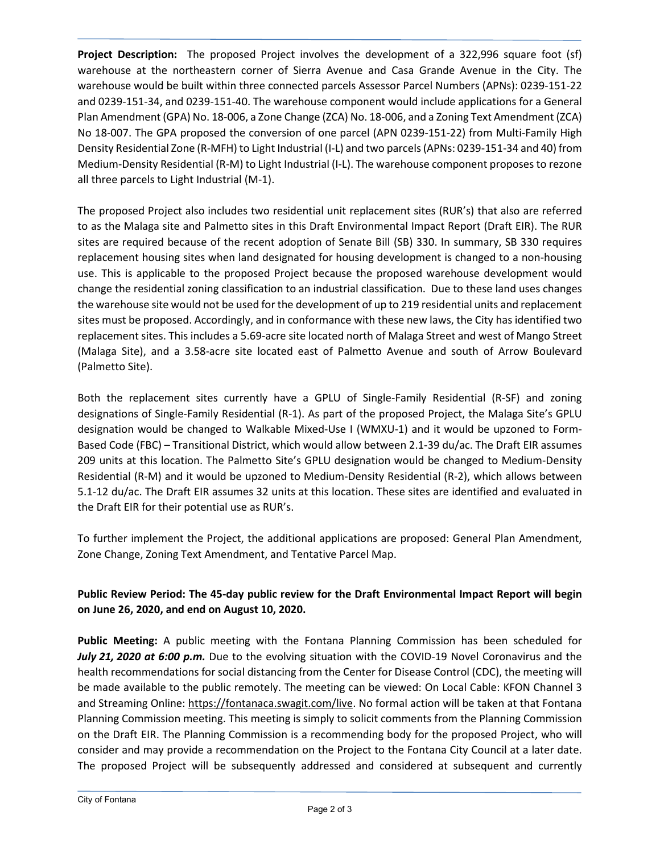**Project Description:** The proposed Project involves the development of a 322,996 square foot (sf) warehouse at the northeastern corner of Sierra Avenue and Casa Grande Avenue in the City. The warehouse would be built within three connected parcels Assessor Parcel Numbers (APNs): 0239-151-22 and 0239-151-34, and 0239-151-40. The warehouse component would include applications for a General Plan Amendment (GPA) No. 18-006, a Zone Change (ZCA) No. 18-006, and a Zoning Text Amendment (ZCA) No 18-007. The GPA proposed the conversion of one parcel (APN 0239-151-22) from Multi-Family High Density Residential Zone (R-MFH) to Light Industrial (I-L) and two parcels (APNs: 0239-151-34 and 40) from Medium-Density Residential (R-M) to Light Industrial (I-L). The warehouse component proposes to rezone all three parcels to Light Industrial (M-1).

The proposed Project also includes two residential unit replacement sites (RUR's) that also are referred to as the Malaga site and Palmetto sites in this Draft Environmental Impact Report (Draft EIR). The RUR sites are required because of the recent adoption of Senate Bill (SB) 330. In summary, SB 330 requires replacement housing sites when land designated for housing development is changed to a non-housing use. This is applicable to the proposed Project because the proposed warehouse development would change the residential zoning classification to an industrial classification. Due to these land uses changes the warehouse site would not be used for the development of up to 219 residential units and replacement sites must be proposed. Accordingly, and in conformance with these new laws, the City has identified two replacement sites. This includes a 5.69-acre site located north of Malaga Street and west of Mango Street (Malaga Site), and a 3.58-acre site located east of Palmetto Avenue and south of Arrow Boulevard (Palmetto Site).

Both the replacement sites currently have a GPLU of Single-Family Residential (R-SF) and zoning designations of Single-Family Residential (R-1). As part of the proposed Project, the Malaga Site's GPLU designation would be changed to Walkable Mixed-Use I (WMXU-1) and it would be upzoned to Form-Based Code (FBC) – Transitional District, which would allow between 2.1-39 du/ac. The Draft EIR assumes 209 units at this location. The Palmetto Site's GPLU designation would be changed to Medium-Density Residential (R-M) and it would be upzoned to Medium-Density Residential (R-2), which allows between 5.1-12 du/ac. The Draft EIR assumes 32 units at this location. These sites are identified and evaluated in the Draft EIR for their potential use as RUR's.

To further implement the Project, the additional applications are proposed: General Plan Amendment, Zone Change, Zoning Text Amendment, and Tentative Parcel Map.

## **Public Review Period: The 45-day public review for the Draft Environmental Impact Report will begin on June 26, 2020, and end on August 10, 2020.**

**Public Meeting:** A public meeting with the Fontana Planning Commission has been scheduled for *July 21, 2020 at 6:00 p.m.* Due to the evolving situation with the COVID-19 Novel Coronavirus and the health recommendations for social distancing from the Center for Disease Control (CDC), the meeting will be made available to the public remotely. The meeting can be viewed: On Local Cable: KFON Channel 3 and Streaming Online: https://fontanaca.swagit.com/live. No formal action will be taken at that Fontana Planning Commission meeting. This meeting is simply to solicit comments from the Planning Commission on the Draft EIR. The Planning Commission is a recommending body for the proposed Project, who will consider and may provide a recommendation on the Project to the Fontana City Council at a later date. The proposed Project will be subsequently addressed and considered at subsequent and currently